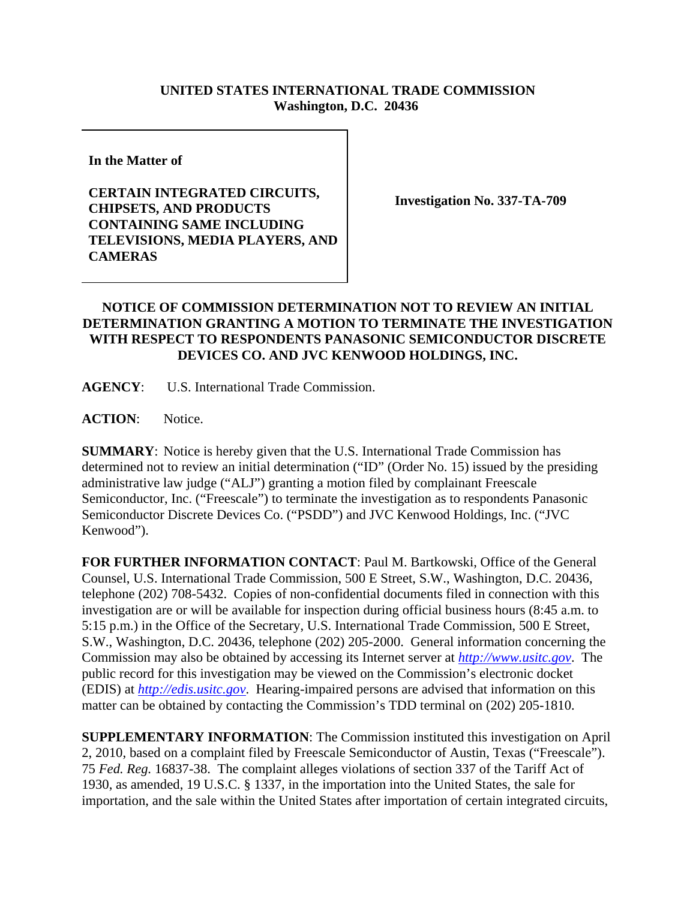## **UNITED STATES INTERNATIONAL TRADE COMMISSION Washington, D.C. 20436**

**In the Matter of** 

## **CERTAIN INTEGRATED CIRCUITS, CHIPSETS, AND PRODUCTS CONTAINING SAME INCLUDING TELEVISIONS, MEDIA PLAYERS, AND CAMERAS**

**Investigation No. 337-TA-709**

## **NOTICE OF COMMISSION DETERMINATION NOT TO REVIEW AN INITIAL DETERMINATION GRANTING A MOTION TO TERMINATE THE INVESTIGATION WITH RESPECT TO RESPONDENTS PANASONIC SEMICONDUCTOR DISCRETE DEVICES CO. AND JVC KENWOOD HOLDINGS, INC.**

**AGENCY**: U.S. International Trade Commission.

ACTION: Notice.

**SUMMARY**: Notice is hereby given that the U.S. International Trade Commission has determined not to review an initial determination ("ID" (Order No. 15) issued by the presiding administrative law judge ("ALJ") granting a motion filed by complainant Freescale Semiconductor, Inc. ("Freescale") to terminate the investigation as to respondents Panasonic Semiconductor Discrete Devices Co. ("PSDD") and JVC Kenwood Holdings, Inc. ("JVC Kenwood").

**FOR FURTHER INFORMATION CONTACT**: Paul M. Bartkowski, Office of the General Counsel, U.S. International Trade Commission, 500 E Street, S.W., Washington, D.C. 20436, telephone (202) 708-5432. Copies of non-confidential documents filed in connection with this investigation are or will be available for inspection during official business hours (8:45 a.m. to 5:15 p.m.) in the Office of the Secretary, U.S. International Trade Commission, 500 E Street, S.W., Washington, D.C. 20436, telephone (202) 205-2000. General information concerning the Commission may also be obtained by accessing its Internet server at *http://www.usitc.gov*. The public record for this investigation may be viewed on the Commission's electronic docket (EDIS) at *http://edis.usitc.gov*. Hearing-impaired persons are advised that information on this matter can be obtained by contacting the Commission's TDD terminal on (202) 205-1810.

**SUPPLEMENTARY INFORMATION**: The Commission instituted this investigation on April 2, 2010, based on a complaint filed by Freescale Semiconductor of Austin, Texas ("Freescale"). 75 *Fed. Reg.* 16837-38. The complaint alleges violations of section 337 of the Tariff Act of 1930, as amended, 19 U.S.C. § 1337, in the importation into the United States, the sale for importation, and the sale within the United States after importation of certain integrated circuits,